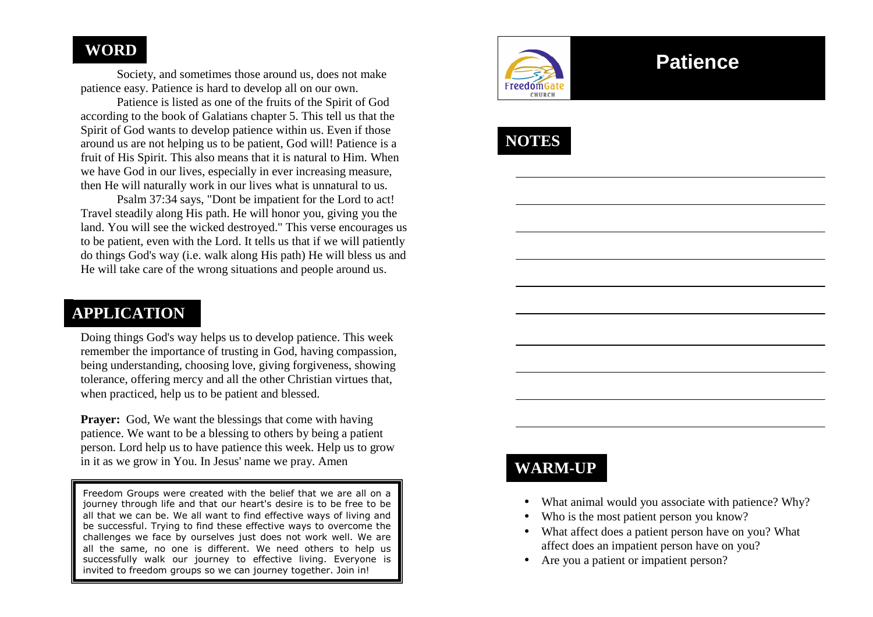#### **WORD**

 Society, and sometimes those around us, does not make patience easy. Patience is hard to develop all on our own.

 Patience is listed as one of the fruits of the Spirit of God according to the book of Galatians chapter 5. This tell us that the Spirit of God wants to develop patience within us. Even if those around us are not helping us to be patient, God will! Patience is a fruit of His Spirit. This also means that it is natural to Him. When we have God in our lives, especially in ever increasing measure, then He will naturally work in our lives what is unnatural to us.

 Psalm 37:34 says, "Dont be impatient for the Lord to act! Travel steadily along His path. He will honor you, giving you the land. You will see the wicked destroyed." This verse encourages us to be patient, even with the Lord. It tells us that if we will patiently do things God's way (i.e. walk along His path) He will bless us and He will take care of the wrong situations and people around us.

### **APPLICATION**

Doing things God's way helps us to develop patience. This week remember the importance of trusting in God, having compassion, being understanding, choosing love, giving forgiveness, showing tolerance, offering mercy and all the other Christian virtues that, when practiced, help us to be patient and blessed.

**Prayer:** God, We want the blessings that come with having patience. We want to be a blessing to others by being a patient person. Lord help us to have patience this week. Help us to grow in it as we grow in You. In Jesus' name we pray. Amen

Freedom Groups were created with the belief that we are all on a journey through life and that our heart's desire is to be free to be all that we can be. We all want to find effective ways of living and be successful. Trying to find these effective ways to overcome the challenges we face by ourselves just does not work well. We are all the same, no one is different. We need others to help us successfully walk our journey to effective living. Everyone is invited to freedom groups so we can journey together. Join in!



# **Patience**

**NOTES** 

### **WARM-UP**

- What animal would you associate with patience? Why?
- Who is the most patient person you know?
- What affect does a patient person have on you? What affect does an impatient person have on you?
- Are you a patient or impatient person?